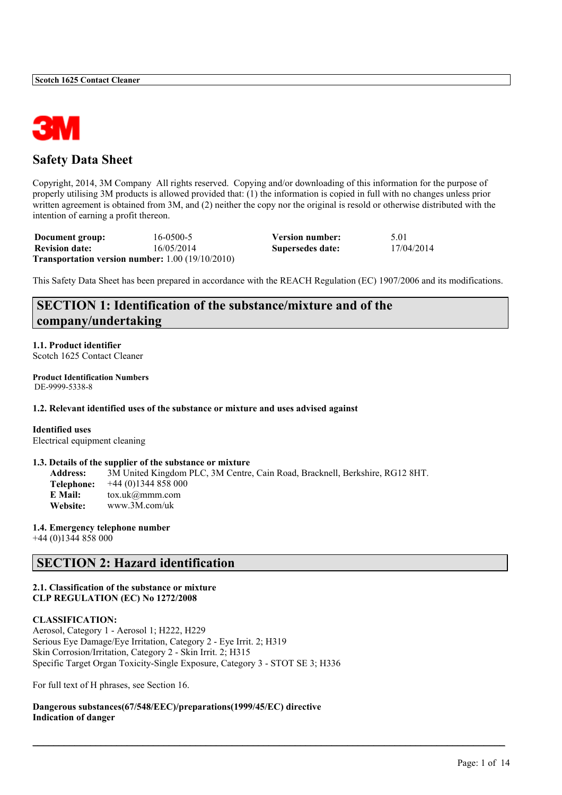

# **Safety Data Sheet**

Copyright, 2014, 3M Company All rights reserved. Copying and/or downloading of this information for the purpose of properly utilising 3M products is allowed provided that: (1) the information is copied in full with no changes unless prior written agreement is obtained from 3M, and (2) neither the copy nor the original is resold or otherwise distributed with the intention of earning a profit thereon.

| Document group:       | 16-0500-5                                                     | Version number:  | 5.01       |
|-----------------------|---------------------------------------------------------------|------------------|------------|
| <b>Revision date:</b> | 16/05/2014                                                    | Supersedes date: | 17/04/2014 |
|                       | <b>Transportation version number:</b> $1.00$ ( $19/10/2010$ ) |                  |            |

This Safety Data Sheet has been prepared in accordance with the REACH Regulation (EC) 1907/2006 and its modifications.

# **SECTION 1: Identification of the substance/mixture and of the company/undertaking**

**1.1. Product identifier** Scotch 1625 Contact Cleaner

**Product Identification Numbers** DE-9999-5338-8

**1.2. Relevant identified uses of the substance or mixture and uses advised against**

**Identified uses** Electrical equipment cleaning

#### **1.3. Details of the supplier of the substance or mixture**

**Address:** 3M United Kingdom PLC, 3M Centre, Cain Road, Bracknell, Berkshire, RG12 8HT. **Telephone:** +44 (0)1344 858 000 **E Mail:** tox.uk@mmm.com **Website:** www.3M.com/uk

 $\mathcal{L}_\mathcal{L} = \mathcal{L}_\mathcal{L} = \mathcal{L}_\mathcal{L} = \mathcal{L}_\mathcal{L} = \mathcal{L}_\mathcal{L} = \mathcal{L}_\mathcal{L} = \mathcal{L}_\mathcal{L} = \mathcal{L}_\mathcal{L} = \mathcal{L}_\mathcal{L} = \mathcal{L}_\mathcal{L} = \mathcal{L}_\mathcal{L} = \mathcal{L}_\mathcal{L} = \mathcal{L}_\mathcal{L} = \mathcal{L}_\mathcal{L} = \mathcal{L}_\mathcal{L} = \mathcal{L}_\mathcal{L} = \mathcal{L}_\mathcal{L}$ 

**1.4. Emergency telephone number**

+44 (0)1344 858 000

# **SECTION 2: Hazard identification**

# **2.1. Classification of the substance or mixture CLP REGULATION (EC) No 1272/2008**

#### **CLASSIFICATION:**

Aerosol, Category 1 - Aerosol 1; H222, H229 Serious Eye Damage/Eye Irritation, Category 2 - Eye Irrit. 2; H319 Skin Corrosion/Irritation, Category 2 - Skin Irrit. 2; H315 Specific Target Organ Toxicity-Single Exposure, Category 3 - STOT SE 3; H336

For full text of H phrases, see Section 16.

**Dangerous substances(67/548/EEC)/preparations(1999/45/EC) directive Indication of danger**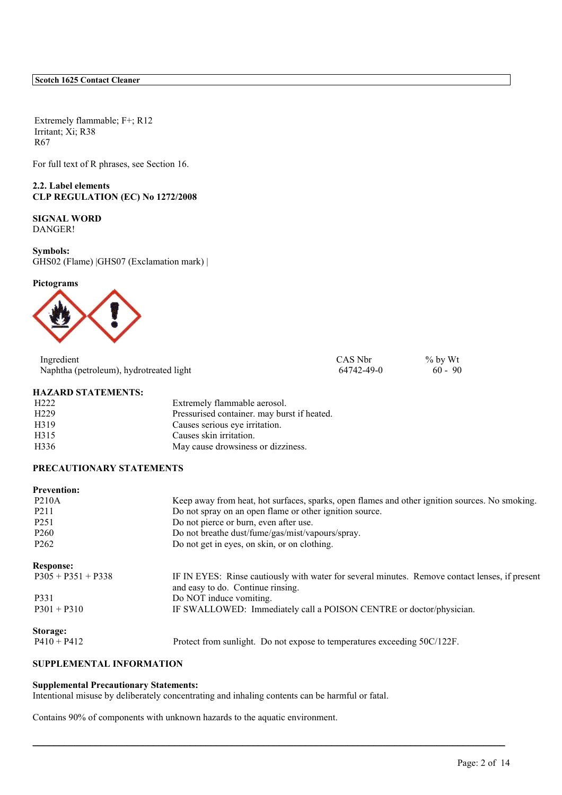Extremely flammable; F+; R12 Irritant; Xi; R38 R67

For full text of R phrases, see Section 16.

**2.2. Label elements CLP REGULATION (EC) No 1272/2008**

**SIGNAL WORD** DANGER!

**Symbols:** GHS02 (Flame) |GHS07 (Exclamation mark) |

**Pictograms**



| Ingredient                              | CAS Nbr    | $\%$ by Wt |
|-----------------------------------------|------------|------------|
| Naphtha (petroleum), hydrotreated light | 64742-49-0 | $60 - 90$  |

### **HAZARD STATEMENTS:**

| H <sub>222</sub>  | Extremely flammable aerosol.                |
|-------------------|---------------------------------------------|
| H <sub>229</sub>  | Pressurised container, may burst if heated. |
| H <sub>3</sub> 19 | Causes serious eye irritation.              |
| H315              | Causes skin irritation.                     |
| H336              | May cause drowsiness or dizziness.          |

# **PRECAUTIONARY STATEMENTS**

| <b>Prevention:</b>   |                                                                                                                                     |
|----------------------|-------------------------------------------------------------------------------------------------------------------------------------|
| <b>P210A</b>         | Keep away from heat, hot surfaces, sparks, open flames and other ignition sources. No smoking.                                      |
| P <sub>2</sub> 11    | Do not spray on an open flame or other ignition source.                                                                             |
| P <sub>251</sub>     | Do not pierce or burn, even after use.                                                                                              |
| P <sub>260</sub>     | Do not breathe dust/fume/gas/mist/vapours/spray.                                                                                    |
| P <sub>262</sub>     | Do not get in eyes, on skin, or on clothing.                                                                                        |
| <b>Response:</b>     |                                                                                                                                     |
| $P305 + P351 + P338$ | IF IN EYES: Rinse cautiously with water for several minutes. Remove contact lenses, if present<br>and easy to do. Continue rinsing. |
| P331                 | Do NOT induce vomiting.                                                                                                             |
| $P301 + P310$        | IF SWALLOWED: Immediately call a POISON CENTRE or doctor/physician.                                                                 |
| Storage:             |                                                                                                                                     |
| $P410 + P412$        | Protect from sunlight. Do not expose to temperatures exceeding 50C/122F.                                                            |

 $\mathcal{L}_\mathcal{L} = \mathcal{L}_\mathcal{L} = \mathcal{L}_\mathcal{L} = \mathcal{L}_\mathcal{L} = \mathcal{L}_\mathcal{L} = \mathcal{L}_\mathcal{L} = \mathcal{L}_\mathcal{L} = \mathcal{L}_\mathcal{L} = \mathcal{L}_\mathcal{L} = \mathcal{L}_\mathcal{L} = \mathcal{L}_\mathcal{L} = \mathcal{L}_\mathcal{L} = \mathcal{L}_\mathcal{L} = \mathcal{L}_\mathcal{L} = \mathcal{L}_\mathcal{L} = \mathcal{L}_\mathcal{L} = \mathcal{L}_\mathcal{L}$ 

## **SUPPLEMENTAL INFORMATION**

# **Supplemental Precautionary Statements:**

Intentional misuse by deliberately concentrating and inhaling contents can be harmful or fatal.

Contains 90% of components with unknown hazards to the aquatic environment.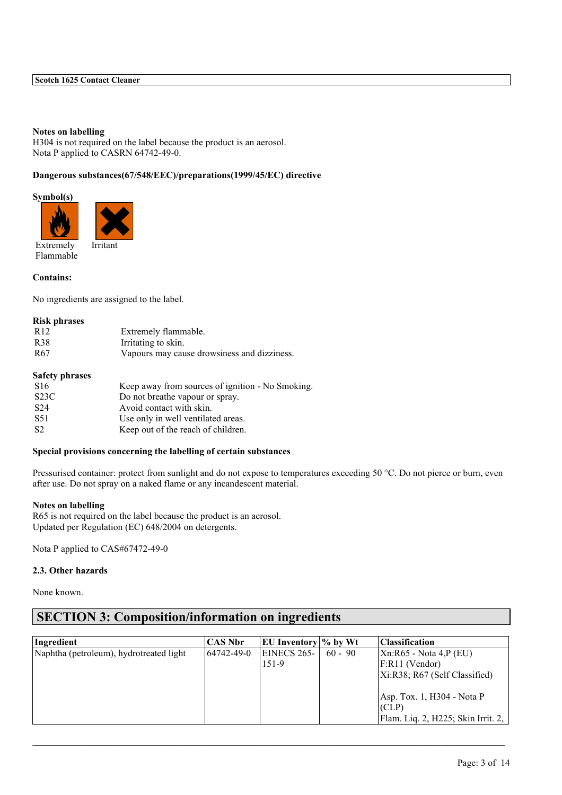### **Notes on labelling**

H304 is not required on the label because the product is an aerosol. Nota P applied to CASRN 64742-49-0.

# **Dangerous substances(67/548/EEC)/preparations(1999/45/EC) directive**

# **Symbol(s)**



Extremely Flammable

# **Contains:**

No ingredients are assigned to the label.

# **Risk phrases**

| R <sub>12</sub> | Extremely flammable.                        |
|-----------------|---------------------------------------------|
| <b>R38</b>      | Irritating to skin.                         |
| R <sub>67</sub> | Vapours may cause drowsiness and dizziness. |

#### **Safety phrases**

| S <sub>16</sub>   | Keep away from sources of ignition - No Smoking. |
|-------------------|--------------------------------------------------|
| S <sub>23</sub> C | Do not breathe vapour or spray.                  |
| S <sub>24</sub>   | Avoid contact with skin.                         |
| S <sub>51</sub>   | Use only in well ventilated areas.               |
| S <sub>2</sub>    | Keep out of the reach of children.               |
|                   |                                                  |

# **Special provisions concerning the labelling of certain substances**

Pressurised container: protect from sunlight and do not expose to temperatures exceeding 50 °C. Do not pierce or burn, even after use. Do not spray on a naked flame or any incandescent material.

# **Notes on labelling**

R65 is not required on the label because the product is an aerosol. Updated per Regulation (EC) 648/2004 on detergents.

Nota P applied to CAS#67472-49-0

# **2.3. Other hazards**

None known.

# **SECTION 3: Composition/information on ingredients**

| Ingredient                              | <b>CAS Nbr</b> | <b>EU</b> Inventory $\%$ by Wt |           | <b>Classification</b>                                                         |
|-----------------------------------------|----------------|--------------------------------|-----------|-------------------------------------------------------------------------------|
| Naphtha (petroleum), hydrotreated light | 64742-49-0     | EINECS 265-<br>151-9           | $60 - 90$ | $Xn:R65$ - Nota 4,P (EU)<br>$F:R11$ (Vendor)<br>Xi:R38; R67 (Self Classified) |
|                                         |                |                                |           | Asp. Tox. 1, H304 - Nota P<br>(CLP)<br>Flam. Liq. 2, H225; Skin Irrit. 2,     |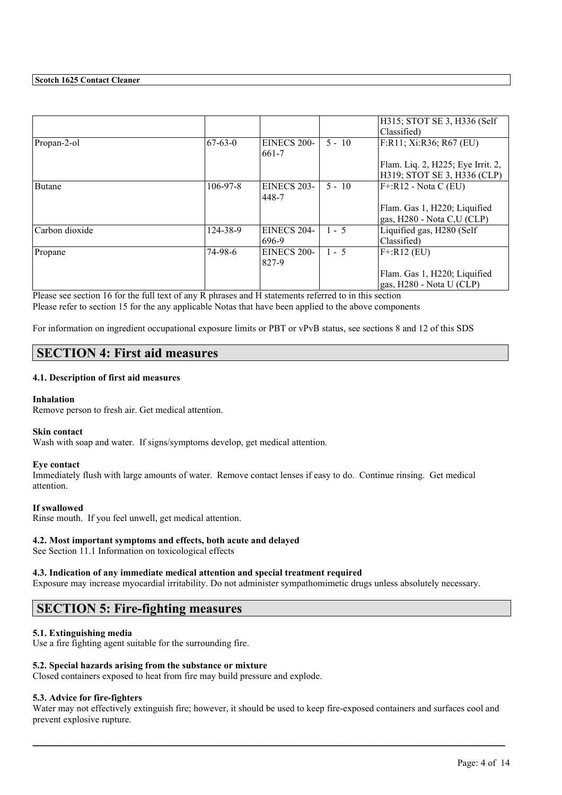|                |                |                    |          | H315; STOT SE 3, H336 (Self       |
|----------------|----------------|--------------------|----------|-----------------------------------|
|                |                |                    |          | Classified)                       |
| Propan-2-ol    | $67-63-0$      | <b>EINECS 200-</b> | $5 - 10$ | F:R11; Xi:R36; R67 (EU)           |
|                |                | 661-7              |          |                                   |
|                |                |                    |          | Flam. Liq. 2, H225; Eye Irrit. 2, |
|                |                |                    |          | H319; STOT SE 3, H336 (CLP)       |
| <b>Butane</b>  | $106 - 97 - 8$ | <b>EINECS 203-</b> | $5 - 10$ | $F^{\dagger}:R12$ - Nota C (EU)   |
|                |                | 448-7              |          |                                   |
|                |                |                    |          | Flam. Gas 1, H220; Liquified      |
|                |                |                    |          | gas, $H280 - Nota C,U (CLP)$      |
| Carbon dioxide | 124-38-9       | EINECS 204-        | $1 - 5$  | Liquified gas, H280 (Self         |
|                |                | 696-9              |          | Classified)                       |
| Propane        | 74-98-6        | EINECS 200-        | $1 - 5$  | $F + R12$ (EU)                    |
|                |                | 827-9              |          |                                   |
|                |                |                    |          | Flam. Gas 1, H220; Liquified      |
|                |                |                    |          | gas, H280 - Nota U (CLP)          |

Please see section 16 for the full text of any R phrases and H statements referred to in this section Please refer to section 15 for the any applicable Notas that have been applied to the above components

For information on ingredient occupational exposure limits or PBT or vPvB status, see sections 8 and 12 of this SDS

# **SECTION 4: First aid measures**

# **4.1. Description of first aid measures**

### **Inhalation**

Remove person to fresh air. Get medical attention.

#### **Skin contact**

Wash with soap and water. If signs/symptoms develop, get medical attention.

#### **Eye contact**

Immediately flush with large amounts of water. Remove contact lenses if easy to do. Continue rinsing. Get medical attention.

#### **If swallowed**

Rinse mouth. If you feel unwell, get medical attention.

# **4.2. Most important symptoms and effects, both acute and delayed**

See Section 11.1 Information on toxicological effects

### **4.3. Indication of any immediate medical attention and special treatment required**

Exposure may increase myocardial irritability. Do not administer sympathomimetic drugs unless absolutely necessary.

# **SECTION 5: Fire-fighting measures**

# **5.1. Extinguishing media**

Use a fire fighting agent suitable for the surrounding fire.

# **5.2. Special hazards arising from the substance or mixture**

Closed containers exposed to heat from fire may build pressure and explode.

#### **5.3. Advice for fire-fighters**

Water may not effectively extinguish fire; however, it should be used to keep fire-exposed containers and surfaces cool and prevent explosive rupture.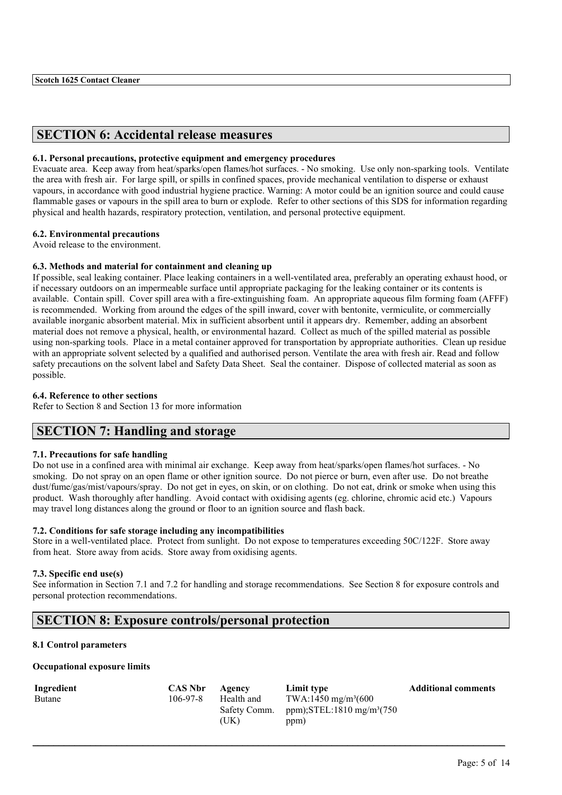# **SECTION 6: Accidental release measures**

### **6.1. Personal precautions, protective equipment and emergency procedures**

Evacuate area. Keep away from heat/sparks/open flames/hot surfaces. - No smoking. Use only non-sparking tools. Ventilate the area with fresh air. For large spill, or spills in confined spaces, provide mechanical ventilation to disperse or exhaust vapours, in accordance with good industrial hygiene practice. Warning: A motor could be an ignition source and could cause flammable gases or vapours in the spill area to burn or explode. Refer to other sections of this SDS for information regarding physical and health hazards, respiratory protection, ventilation, and personal protective equipment.

# **6.2. Environmental precautions**

Avoid release to the environment.

### **6.3. Methods and material for containment and cleaning up**

If possible, seal leaking container. Place leaking containers in a well-ventilated area, preferably an operating exhaust hood, or if necessary outdoors on an impermeable surface until appropriate packaging for the leaking container or its contents is available. Contain spill. Cover spill area with a fire-extinguishing foam. An appropriate aqueous film forming foam (AFFF) is recommended. Working from around the edges of the spill inward, cover with bentonite, vermiculite, or commercially available inorganic absorbent material. Mix in sufficient absorbent until it appears dry. Remember, adding an absorbent material does not remove a physical, health, or environmental hazard. Collect as much of the spilled material as possible using non-sparking tools. Place in a metal container approved for transportation by appropriate authorities. Clean up residue with an appropriate solvent selected by a qualified and authorised person. Ventilate the area with fresh air. Read and follow safety precautions on the solvent label and Safety Data Sheet. Seal the container. Dispose of collected material as soon as possible.

### **6.4. Reference to other sections**

Refer to Section 8 and Section 13 for more information

# **SECTION 7: Handling and storage**

# **7.1. Precautions for safe handling**

Do not use in a confined area with minimal air exchange. Keep away from heat/sparks/open flames/hot surfaces. - No smoking. Do not spray on an open flame or other ignition source. Do not pierce or burn, even after use. Do not breathe dust/fume/gas/mist/vapours/spray. Do not get in eyes, on skin, or on clothing. Do not eat, drink or smoke when using this product. Wash thoroughly after handling. Avoid contact with oxidising agents (eg. chlorine, chromic acid etc.) Vapours may travel long distances along the ground or floor to an ignition source and flash back.

### **7.2. Conditions for safe storage including any incompatibilities**

Store in a well-ventilated place. Protect from sunlight. Do not expose to temperatures exceeding 50C/122F. Store away from heat. Store away from acids. Store away from oxidising agents.

#### **7.3. Specific end use(s)**

See information in Section 7.1 and 7.2 for handling and storage recommendations. See Section 8 for exposure controls and personal protection recommendations.

# **SECTION 8: Exposure controls/personal protection**

# **8.1 Control parameters**

### **Occupational exposure limits**

| Ingredient | <b>CAS Nbr</b> | Agency               | Limit type                                    | <b>Additional comments</b> |
|------------|----------------|----------------------|-----------------------------------------------|----------------------------|
| Butane     | 106-97-8       | Health and           | TWA:1450 mg/m <sup>3</sup> (600               |                            |
|            |                | Safety Comm.<br>(UK) | ppm);STEL:1810 mg/m <sup>3</sup> (750<br>ppm) |                            |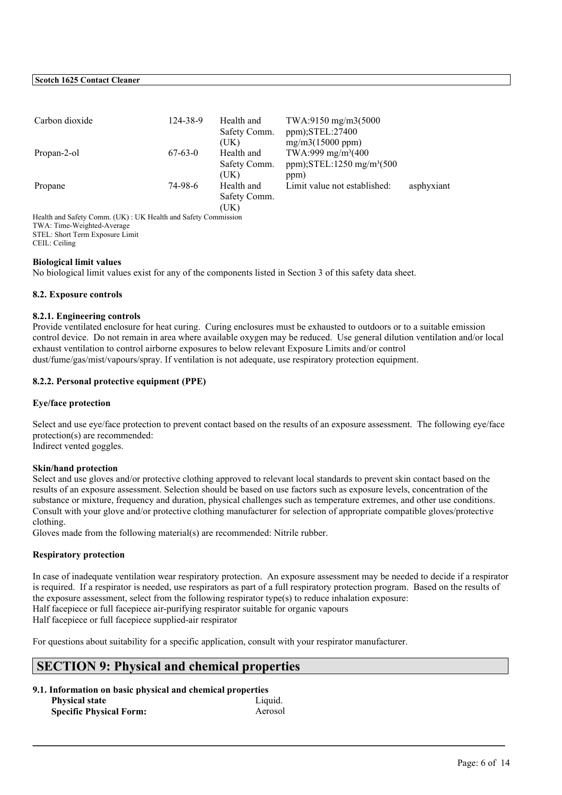| Carbon dioxide       | 124-38-9  | Health and<br>Safety Comm.<br>(UK) | TWA:9150 mg/m3(5000<br>ppm);STEL:27400<br>mg/m3(15000 ppm)                 |            |
|----------------------|-----------|------------------------------------|----------------------------------------------------------------------------|------------|
| Propan-2-ol          | $67-63-0$ | Health and<br>Safety Comm.         | TWA:999 mg/m <sup>3</sup> (400<br>ppm); $STEL:1250$ mg/m <sup>3</sup> (500 |            |
| Propane              | 74-98-6   | (UK)<br>Health and<br>Safety Comm. | ppm)<br>Limit value not established:                                       | asphyxiant |
| $\sim$ $\sim$ $\sim$ |           | (UK)                               |                                                                            |            |

Health and Safety Comm. (UK) : UK Health and Safety Commission TWA: Time-Weighted-Average STEL: Short Term Exposure Limit CEIL: Ceiling

### **Biological limit values**

No biological limit values exist for any of the components listed in Section 3 of this safety data sheet.

### **8.2. Exposure controls**

### **8.2.1. Engineering controls**

Provide ventilated enclosure for heat curing. Curing enclosures must be exhausted to outdoors or to a suitable emission control device. Do not remain in area where available oxygen may be reduced. Use general dilution ventilation and/or local exhaust ventilation to control airborne exposures to below relevant Exposure Limits and/or control dust/fume/gas/mist/vapours/spray. If ventilation is not adequate, use respiratory protection equipment.

# **8.2.2. Personal protective equipment (PPE)**

#### **Eye/face protection**

Select and use eye/face protection to prevent contact based on the results of an exposure assessment. The following eye/face protection(s) are recommended: Indirect vented goggles.

#### **Skin/hand protection**

Select and use gloves and/or protective clothing approved to relevant local standards to prevent skin contact based on the results of an exposure assessment. Selection should be based on use factors such as exposure levels, concentration of the substance or mixture, frequency and duration, physical challenges such as temperature extremes, and other use conditions. Consult with your glove and/or protective clothing manufacturer for selection of appropriate compatible gloves/protective clothing.

Gloves made from the following material(s) are recommended: Nitrile rubber.

#### **Respiratory protection**

In case of inadequate ventilation wear respiratory protection. An exposure assessment may be needed to decide if a respirator is required. If a respirator is needed, use respirators as part of a full respiratory protection program. Based on the results of the exposure assessment, select from the following respirator type(s) to reduce inhalation exposure: Half facepiece or full facepiece air-purifying respirator suitable for organic vapours Half facepiece or full facepiece supplied-air respirator

 $\mathcal{L}_\mathcal{L} = \mathcal{L}_\mathcal{L} = \mathcal{L}_\mathcal{L} = \mathcal{L}_\mathcal{L} = \mathcal{L}_\mathcal{L} = \mathcal{L}_\mathcal{L} = \mathcal{L}_\mathcal{L} = \mathcal{L}_\mathcal{L} = \mathcal{L}_\mathcal{L} = \mathcal{L}_\mathcal{L} = \mathcal{L}_\mathcal{L} = \mathcal{L}_\mathcal{L} = \mathcal{L}_\mathcal{L} = \mathcal{L}_\mathcal{L} = \mathcal{L}_\mathcal{L} = \mathcal{L}_\mathcal{L} = \mathcal{L}_\mathcal{L}$ 

For questions about suitability for a specific application, consult with your respirator manufacturer.

# **SECTION 9: Physical and chemical properties**

| 9.1. Information on basic physical and chemical properties |         |
|------------------------------------------------------------|---------|
| <b>Physical state</b>                                      | Liquid. |
| <b>Specific Physical Form:</b>                             | Aerosol |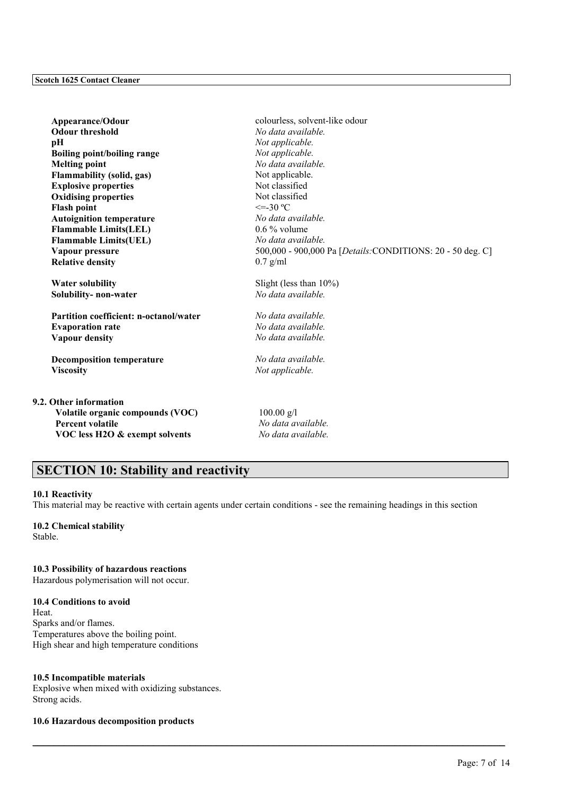**Odour threshold** *No data available.* **pH** *Not applicable.* **Boiling point/boiling range** *Not applicable.* **Melting point** *No data available.* **Flammability (solid, gas)** Not applicable. **Explosive properties** Not classified **Oxidising properties** Not classified<br>
Flash noint  $\leq$  -30 °C **Flash point Autoignition temperature** *No data available.* **Flammable Limits(LEL)** 0.6 % volume **Flammable Limits(UEL)** *No data available.* **Relative density** 0.7 g/ml

**Solubility- non-water** *No data available.*

**Partition coefficient: n-octanol/water** *No data available.* **Evaporation rate** *No data available.* **Vapour density** *No data available.*

**Decomposition temperature** *No data available.* **Viscosity** *Not applicable.*

#### **9.2. Other information**

**Volatile organic compounds (VOC)** 100.00 g/l **Percent volatile** *No data available.* **VOC less H2O & exempt solvents** *No data available.*

Appearance/Odour<br>
colourless, solvent-like odour **Vapour pressure** 500,000 - 900,000 Pa [*Details:*CONDITIONS: 20 - 50 deg. C]

**Water solubility** Slight (less than 10%)

# **SECTION 10: Stability and reactivity**

#### **10.1 Reactivity**

This material may be reactive with certain agents under certain conditions - see the remaining headings in this section

 $\mathcal{L}_\mathcal{L} = \mathcal{L}_\mathcal{L} = \mathcal{L}_\mathcal{L} = \mathcal{L}_\mathcal{L} = \mathcal{L}_\mathcal{L} = \mathcal{L}_\mathcal{L} = \mathcal{L}_\mathcal{L} = \mathcal{L}_\mathcal{L} = \mathcal{L}_\mathcal{L} = \mathcal{L}_\mathcal{L} = \mathcal{L}_\mathcal{L} = \mathcal{L}_\mathcal{L} = \mathcal{L}_\mathcal{L} = \mathcal{L}_\mathcal{L} = \mathcal{L}_\mathcal{L} = \mathcal{L}_\mathcal{L} = \mathcal{L}_\mathcal{L}$ 

# **10.2 Chemical stability**

Stable.

# **10.3 Possibility of hazardous reactions**

Hazardous polymerisation will not occur.

# **10.4 Conditions to avoid**

**Heat** Sparks and/or flames. Temperatures above the boiling point. High shear and high temperature conditions

# **10.5 Incompatible materials**

Explosive when mixed with oxidizing substances. Strong acids.

# **10.6 Hazardous decomposition products**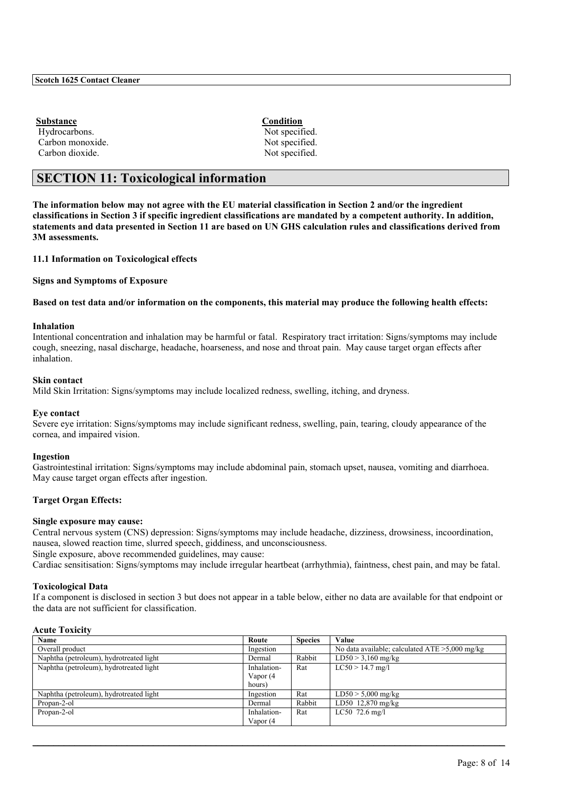**Substance Condition** Hydrocarbons. Not specified. Carbon monoxide. Not specified. Carbon dioxide. Not specified.

# **SECTION 11: Toxicological information**

**The information below may not agree with the EU material classification in Section 2 and/or the ingredient classifications in Section 3 if specific ingredient classifications are mandated by a competent authority. In addition, statements and data presented in Section 11 are based on UN GHS calculation rules and classifications derived from 3M assessments.**

### **11.1 Information on Toxicological effects**

**Signs and Symptoms of Exposure**

**Based on test data and/or information on the components, this material may produce the following health effects:**

### **Inhalation**

Intentional concentration and inhalation may be harmful or fatal. Respiratory tract irritation: Signs/symptoms may include cough, sneezing, nasal discharge, headache, hoarseness, and nose and throat pain. May cause target organ effects after inhalation.

### **Skin contact**

Mild Skin Irritation: Signs/symptoms may include localized redness, swelling, itching, and dryness.

#### **Eye contact**

Severe eye irritation: Signs/symptoms may include significant redness, swelling, pain, tearing, cloudy appearance of the cornea, and impaired vision.

#### **Ingestion**

Gastrointestinal irritation: Signs/symptoms may include abdominal pain, stomach upset, nausea, vomiting and diarrhoea. May cause target organ effects after ingestion.

### **Target Organ Effects:**

#### **Single exposure may cause:**

Central nervous system (CNS) depression: Signs/symptoms may include headache, dizziness, drowsiness, incoordination, nausea, slowed reaction time, slurred speech, giddiness, and unconsciousness. Single exposure, above recommended guidelines, may cause:

Cardiac sensitisation: Signs/symptoms may include irregular heartbeat (arrhythmia), faintness, chest pain, and may be fatal.

#### **Toxicological Data**

If a component is disclosed in section 3 but does not appear in a table below, either no data are available for that endpoint or the data are not sufficient for classification.

#### **Acute Toxicity**

| Name                                    | Route       | <b>Species</b> | Value                                             |
|-----------------------------------------|-------------|----------------|---------------------------------------------------|
| Overall product                         | Ingestion   |                | No data available; calculated $ATE > 5,000$ mg/kg |
| Naphtha (petroleum), hydrotreated light | Dermal      | Rabbit         | $LD50 > 3,160$ mg/kg                              |
| Naphtha (petroleum), hydrotreated light | Inhalation- | Rat            | $LC50 > 14.7$ mg/l                                |
|                                         | Vapor (4    |                |                                                   |
|                                         | hours)      |                |                                                   |
| Naphtha (petroleum), hydrotreated light | Ingestion   | Rat            | $LD50 > 5,000$ mg/kg                              |
| Propan-2-ol                             | Dermal      | Rabbit         | LD50 12,870 mg/kg                                 |
| Propan-2-ol                             | Inhalation- | Rat            | $LC50$ 72.6 mg/l                                  |
|                                         | Vapor (4    |                |                                                   |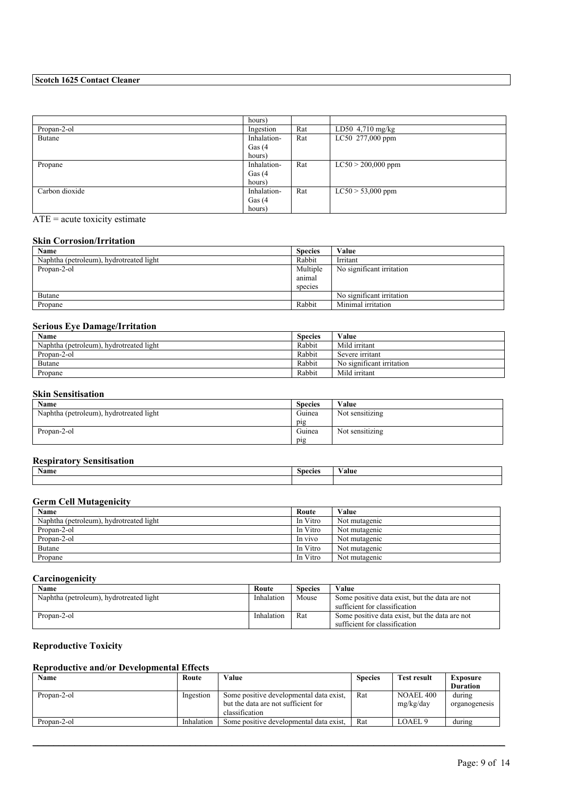|                | hours)      |     |                               |
|----------------|-------------|-----|-------------------------------|
| Propan-2-ol    | Ingestion   | Rat | $\overline{LD50}$ 4,710 mg/kg |
| Butane         | Inhalation- | Rat | LC50 277,000 ppm              |
|                | Gas $(4)$   |     |                               |
|                | hours)      |     |                               |
| Propane        | Inhalation- | Rat | $LC50 > 200,000$ ppm          |
|                | Gas $(4)$   |     |                               |
|                | hours)      |     |                               |
| Carbon dioxide | Inhalation- | Rat | $LC50 > 53,000$ ppm           |
|                | Gas $(4)$   |     |                               |
|                | hours)      |     |                               |

# ATE = acute toxicity estimate

### **Skin Corrosion/Irritation**

| Name                                    | <b>Species</b>                | Value                     |
|-----------------------------------------|-------------------------------|---------------------------|
| Naphtha (petroleum), hydrotreated light | Rabbit                        | Irritant                  |
| Propan-2-ol                             | Multiple<br>animal<br>species | No significant irritation |
| Butane                                  |                               | No significant irritation |
| Propane                                 | Rabbit                        | Minimal irritation        |

# **Serious Eye Damage/Irritation**

| Name                                    | <b>Species</b> | Value                     |
|-----------------------------------------|----------------|---------------------------|
| Naphtha (petroleum), hydrotreated light | Rabbit         | Mild irritant             |
| Propan-2-ol                             | Rabbit         | Severe irritant           |
| Butane                                  | Rabbit         | No significant irritation |
| Propane                                 | Rabbit         | Mild irritant             |

# **Skin Sensitisation**

| <b>Name</b>                             | <b>Species</b> | Value           |
|-----------------------------------------|----------------|-----------------|
| Naphtha (petroleum), hydrotreated light | Guinea         | Not sensitizing |
|                                         | pig            |                 |
| Propan-2-ol                             | Guinea         | Not sensitizing |
|                                         | $p_{1}g$       |                 |

### **Respiratory Sensitisation**

| <i>Respirator</i> , <i>Sensition</i> tra |         |        |
|------------------------------------------|---------|--------|
| <b>B</b> T<br>Name                       | species | ⁄ alue |
|                                          |         |        |

# **Germ Cell Mutagenicity**

| Name                                    | Route    | Value         |
|-----------------------------------------|----------|---------------|
| Naphtha (petroleum), hydrotreated light | In Vitro | Not mutagenic |
| Propan-2-ol                             | In Vitro | Not mutagenic |
| Propan-2-ol                             | In vivo  | Not mutagenic |
| <b>Butane</b>                           | In Vitro | Not mutagenic |
| Propane                                 | In Vitro | Not mutagenic |

# **Carcinogenicity**

| Name                                    | Route      | <b>Species</b> | Value                                          |
|-----------------------------------------|------------|----------------|------------------------------------------------|
| Naphtha (petroleum), hydrotreated light | Inhalation | Mouse          | Some positive data exist, but the data are not |
|                                         |            |                | sufficient for classification                  |
| Propan-2-ol                             | Inhalation | Rat            | Some positive data exist, but the data are not |
|                                         |            |                | sufficient for classification                  |

# **Reproductive Toxicity**

# **Reproductive and/or Developmental Effects**

| Name        | Route      | Value                                                                                            | <b>Species</b> | <b>Test result</b>            | Exposure                |
|-------------|------------|--------------------------------------------------------------------------------------------------|----------------|-------------------------------|-------------------------|
|             |            |                                                                                                  |                |                               | <b>Duration</b>         |
| Propan-2-ol | Ingestion  | Some positive developmental data exist.<br>but the data are not sufficient for<br>classification | Rat            | <b>NOAEL 400</b><br>mg/kg/day | during<br>organogenesis |
| Propan-2-ol | Inhalation | Some positive developmental data exist.                                                          | Rat            | LOAEL 9                       | during                  |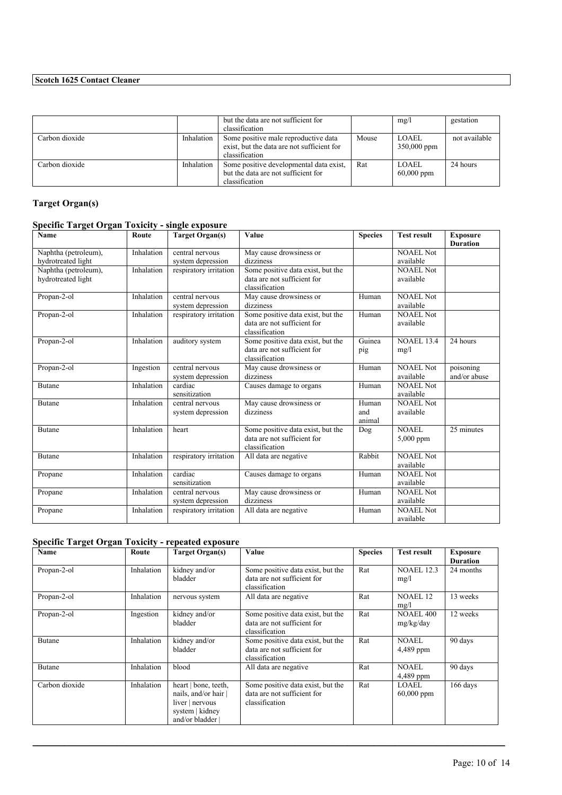|                |            | but the data are not sufficient for<br>classification                                                |       | mg/l                         | gestation     |
|----------------|------------|------------------------------------------------------------------------------------------------------|-------|------------------------------|---------------|
| Carbon dioxide | Inhalation | Some positive male reproductive data<br>exist, but the data are not sufficient for<br>classification | Mouse | LOAEL<br>350,000 ppm         | not available |
| Carbon dioxide | Inhalation | Some positive developmental data exist,<br>but the data are not sufficient for<br>classification     | Rat   | <b>LOAEL</b><br>$60,000$ ppm | 24 hours      |

# **Target Organ(s)**

# **Specific Target Organ Toxicity - single exposure**

| Name                                       | Route      | <b>Target Organ(s)</b>               | Value                                                                              | <b>Species</b>         | <b>Test result</b>            | <b>Exposure</b><br><b>Duration</b> |
|--------------------------------------------|------------|--------------------------------------|------------------------------------------------------------------------------------|------------------------|-------------------------------|------------------------------------|
| Naphtha (petroleum),<br>hydrotreated light | Inhalation | central nervous<br>system depression | May cause drowsiness or<br>dizziness                                               |                        | <b>NOAEL Not</b><br>available |                                    |
| Naphtha (petroleum),<br>hydrotreated light | Inhalation | respiratory irritation               | Some positive data exist, but the<br>data are not sufficient for<br>classification |                        | <b>NOAEL Not</b><br>available |                                    |
| Propan-2-ol                                | Inhalation | central nervous<br>system depression | May cause drowsiness or<br>dizziness                                               | Human                  | <b>NOAEL Not</b><br>available |                                    |
| Propan-2-ol                                | Inhalation | respiratory irritation               | Some positive data exist, but the<br>data are not sufficient for<br>classification | Human                  | NOAEL Not<br>available        |                                    |
| Propan-2-ol                                | Inhalation | auditory system                      | Some positive data exist, but the<br>data are not sufficient for<br>classification | Guinea<br>pig          | <b>NOAEL 13.4</b><br>mg/l     | 24 hours                           |
| Propan-2-ol                                | Ingestion  | central nervous<br>system depression | May cause drowsiness or<br>dizziness                                               | Human                  | <b>NOAEL Not</b><br>available | poisoning<br>and/or abuse          |
| <b>Butane</b>                              | Inhalation | cardiac<br>sensitization             | Causes damage to organs                                                            | Human                  | <b>NOAEL Not</b><br>available |                                    |
| <b>Butane</b>                              | Inhalation | central nervous<br>system depression | May cause drowsiness or<br>dizziness                                               | Human<br>and<br>animal | NOAEL Not<br>available        |                                    |
| <b>Butane</b>                              | Inhalation | heart                                | Some positive data exist, but the<br>data are not sufficient for<br>classification | Dog                    | NOAEL<br>$5,000$ ppm          | 25 minutes                         |
| <b>Butane</b>                              | Inhalation | respiratory irritation               | All data are negative                                                              | Rabbit                 | <b>NOAEL Not</b><br>available |                                    |
| Propane                                    | Inhalation | cardiac<br>sensitization             | Causes damage to organs                                                            | Human                  | <b>NOAEL Not</b><br>available |                                    |
| Propane                                    | Inhalation | central nervous<br>system depression | May cause drowsiness or<br>dizziness                                               | Human                  | <b>NOAEL Not</b><br>available |                                    |
| Propane                                    | Inhalation | respiratory irritation               | All data are negative                                                              | Human                  | <b>NOAEL Not</b><br>available |                                    |

# **Specific Target Organ Toxicity - repeated exposure**

| Name           | Route      | <b>Target Organ(s)</b>                                                                             | Value                                                                              | <b>Species</b> | <b>Test result</b>            | <b>Exposure</b> |
|----------------|------------|----------------------------------------------------------------------------------------------------|------------------------------------------------------------------------------------|----------------|-------------------------------|-----------------|
|                |            |                                                                                                    |                                                                                    |                |                               | <b>Duration</b> |
| Propan-2-ol    | Inhalation | kidney and/or<br>bladder                                                                           | Some positive data exist, but the<br>data are not sufficient for<br>classification | Rat            | <b>NOAEL 12.3</b><br>mg/l     | 24 months       |
| Propan-2-ol    | Inhalation | nervous system                                                                                     | All data are negative                                                              | Rat            | <b>NOAEL 12</b><br>mg/l       | 13 weeks        |
| Propan-2-ol    | Ingestion  | kidney and/or<br>bladder                                                                           | Some positive data exist, but the<br>data are not sufficient for<br>classification | Rat            | <b>NOAEL 400</b><br>mg/kg/day | 12 weeks        |
| <b>Butane</b>  | Inhalation | kidney and/or<br>bladder                                                                           | Some positive data exist, but the<br>data are not sufficient for<br>classification | Rat            | NOAEL<br>4,489 ppm            | 90 days         |
| <b>Butane</b>  | Inhalation | blood                                                                                              | All data are negative                                                              | Rat            | <b>NOAEL</b><br>4,489 ppm     | 90 days         |
| Carbon dioxide | Inhalation | heart   bone, teeth,<br>nails, and/or hair<br>liver   nervous<br>system   kidney<br>and/or bladder | Some positive data exist, but the<br>data are not sufficient for<br>classification | Rat            | LOAEL<br>$60,000$ ppm         | 166 days        |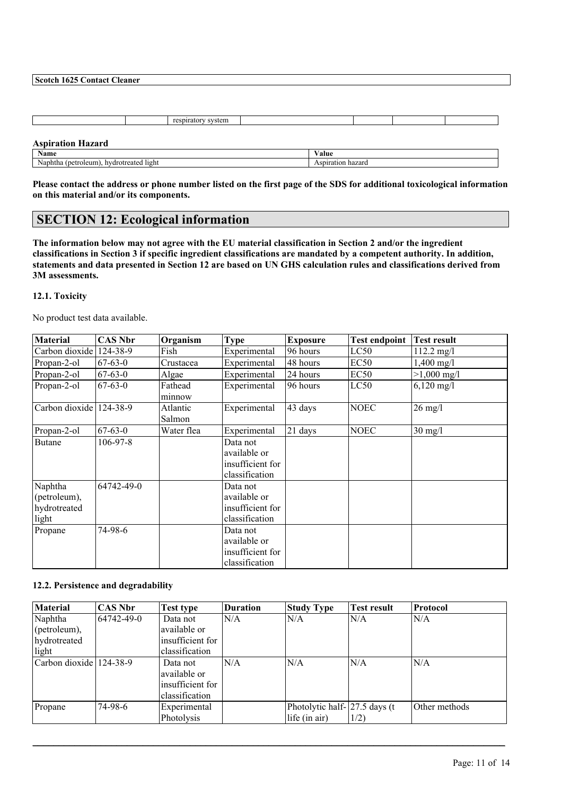|                                         | respiratory system |                   |  |  |
|-----------------------------------------|--------------------|-------------------|--|--|
|                                         |                    |                   |  |  |
| <b>Aspiration Hazard</b>                |                    |                   |  |  |
| Name                                    |                    | Value             |  |  |
| Naphtha (petroleum), hydrotreated light |                    | Aspiration hazard |  |  |

**Please contact the address or phone number listed on the first page of the SDS for additional toxicological information on this material and/or its components.**

# **SECTION 12: Ecological information**

**The information below may not agree with the EU material classification in Section 2 and/or the ingredient classifications in Section 3 if specific ingredient classifications are mandated by a competent authority. In addition, statements and data presented in Section 12 are based on UN GHS calculation rules and classifications derived from 3M assessments.**

### **12.1. Toxicity**

No product test data available.

| <b>Material</b>                                  | <b>CAS Nbr</b> | Organism           | <b>Type</b>                                                    | <b>Exposure</b> | <b>Test endpoint</b> | <b>Test result</b>    |
|--------------------------------------------------|----------------|--------------------|----------------------------------------------------------------|-----------------|----------------------|-----------------------|
| Carbon dioxide                                   | 124-38-9       | Fish               | Experimental                                                   | 96 hours        | LC50                 | $112.2 \text{ mg/l}$  |
| Propan-2-ol                                      | $67 - 63 - 0$  | Crustacea          | Experimental                                                   | 48 hours        | EC <sub>50</sub>     | $1,400 \text{ mg}/1$  |
| Propan-2-ol                                      | $67 - 63 - 0$  | Algae              | Experimental                                                   | 24 hours        | EC <sub>50</sub>     | $>1,000 \text{ mg/l}$ |
| Propan-2-ol                                      | $67 - 63 - 0$  | Fathead<br>minnow  | Experimental                                                   | 96 hours        | LC50                 | $6,120 \text{ mg/l}$  |
| Carbon dioxide                                   | 124-38-9       | Atlantic<br>Salmon | Experimental                                                   | 43 days         | <b>NOEC</b>          | $26 \text{ mg/l}$     |
| Propan-2-ol                                      | $67-63-0$      | Water flea         | Experimental                                                   | 21 days         | <b>NOEC</b>          | $30 \text{ mg/l}$     |
| <b>Butane</b>                                    | 106-97-8       |                    | Data not<br>available or<br>insufficient for<br>classification |                 |                      |                       |
| Naphtha<br>(petroleum),<br>hydrotreated<br>light | 64742-49-0     |                    | Data not<br>available or<br>insufficient for<br>classification |                 |                      |                       |
| Propane                                          | 74-98-6        |                    | Data not<br>available or<br>insufficient for<br>classification |                 |                      |                       |

#### **12.2. Persistence and degradability**

| <b>Material</b>         | <b>CAS Nbr</b> | Test type        | <b>Duration</b> | <b>Study Type</b>                | <b>Test result</b> | Protocol      |
|-------------------------|----------------|------------------|-----------------|----------------------------------|--------------------|---------------|
| Naphtha                 | 64742-49-0     | Data not         | N/A             | N/A                              | N/A                | N/A           |
| (petroleum),            |                | available or     |                 |                                  |                    |               |
| hydrotreated            |                | insufficient for |                 |                                  |                    |               |
| light                   |                | classification   |                 |                                  |                    |               |
| Carbon dioxide 124-38-9 |                | Data not         | N/A             | N/A                              | N/A                | N/A           |
|                         |                | available or     |                 |                                  |                    |               |
|                         |                | insufficient for |                 |                                  |                    |               |
|                         |                | classification   |                 |                                  |                    |               |
| Propane                 | 74-98-6        | Experimental     |                 | Photolytic half- $ 27.5$ days (t |                    | Other methods |
|                         |                | Photolysis       |                 | life (in air)                    | 1/2)               |               |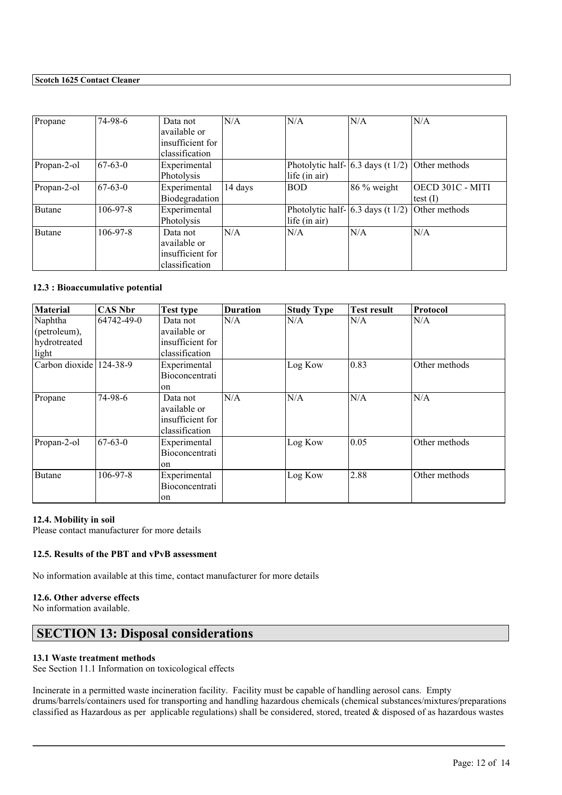| Propane     | 74-98-6        | Data not<br>available or<br>insufficient for<br>classification | N/A     | N/A                                                     | N/A                                                           | N/A                            |
|-------------|----------------|----------------------------------------------------------------|---------|---------------------------------------------------------|---------------------------------------------------------------|--------------------------------|
| Propan-2-ol | $67 - 63 - 0$  | Experimental<br>Photolysis                                     |         | life (in air)                                           | Photolytic half- $\vert 6.3 \vert$ days (t 1/2) Other methods |                                |
| Propan-2-ol | $67-63-0$      | Experimental<br>Biodegradation                                 | 14 days | <b>BOD</b>                                              | 86 % weight                                                   | OECD 301C - MITI<br>test $(I)$ |
| Butane      | $106 - 97 - 8$ | Experimental<br>Photolysis                                     |         | Photolytic half- $6.3$ days (t $1/2$ )<br>life (in air) |                                                               | Other methods                  |
| Butane      | $106-97-8$     | Data not<br>available or<br>insufficient for<br>classification | N/A     | N/A                                                     | N/A                                                           | N/A                            |

### **12.3 : Bioaccumulative potential**

| <b>Material</b> | <b>CAS Nbr</b> | <b>Test type</b> | <b>Duration</b> | <b>Study Type</b> | Test result | Protocol      |
|-----------------|----------------|------------------|-----------------|-------------------|-------------|---------------|
| Naphtha         | 64742-49-0     | Data not         | N/A             | N/A               | N/A         | N/A           |
| (petroleum),    |                | available or     |                 |                   |             |               |
| hydrotreated    |                | insufficient for |                 |                   |             |               |
| light           |                | classification   |                 |                   |             |               |
| Carbon dioxide  | 124-38-9       | Experimental     |                 | Log Kow           | 0.83        | Other methods |
|                 |                | Bioconcentrati   |                 |                   |             |               |
|                 |                | <sub>on</sub>    |                 |                   |             |               |
| Propane         | 74-98-6        | Data not         | N/A             | N/A               | N/A         | N/A           |
|                 |                | available or     |                 |                   |             |               |
|                 |                | insufficient for |                 |                   |             |               |
|                 |                | classification   |                 |                   |             |               |
| Propan-2-ol     | $67 - 63 - 0$  | Experimental     |                 | Log Kow           | 0.05        | Other methods |
|                 |                | Bioconcentrati   |                 |                   |             |               |
|                 |                | on               |                 |                   |             |               |
| <b>Butane</b>   | $106 - 97 - 8$ | Experimental     |                 | Log Kow           | 2.88        | Other methods |
|                 |                | Bioconcentrati   |                 |                   |             |               |
|                 |                | on               |                 |                   |             |               |

#### **12.4. Mobility in soil**

Please contact manufacturer for more details

# **12.5. Results of the PBT and vPvB assessment**

No information available at this time, contact manufacturer for more details

# **12.6. Other adverse effects**

No information available.

# **SECTION 13: Disposal considerations**

# **13.1 Waste treatment methods**

See Section 11.1 Information on toxicological effects

Incinerate in a permitted waste incineration facility. Facility must be capable of handling aerosol cans. Empty drums/barrels/containers used for transporting and handling hazardous chemicals (chemical substances/mixtures/preparations classified as Hazardous as per applicable regulations) shall be considered, stored, treated & disposed of as hazardous wastes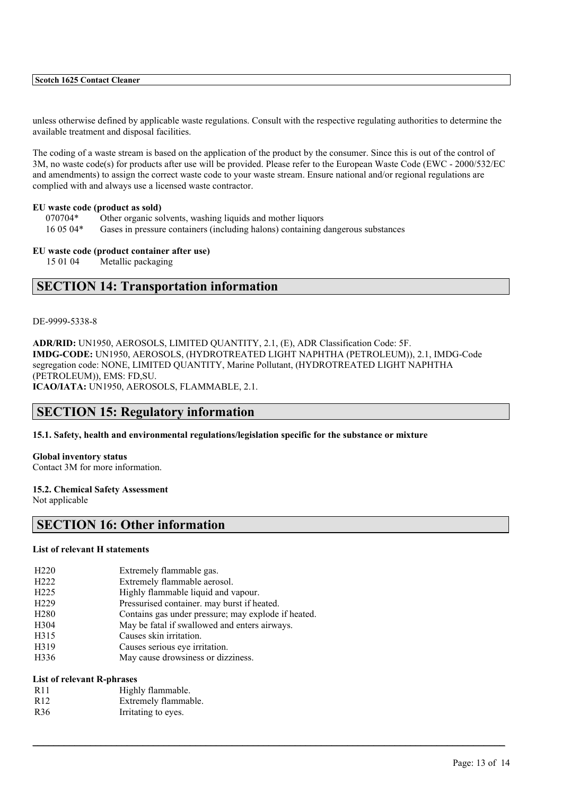unless otherwise defined by applicable waste regulations. Consult with the respective regulating authorities to determine the available treatment and disposal facilities.

The coding of a waste stream is based on the application of the product by the consumer. Since this is out of the control of 3M, no waste code(s) for products after use will be provided. Please refer to the European Waste Code (EWC - 2000/532/EC and amendments) to assign the correct waste code to your waste stream. Ensure national and/or regional regulations are complied with and always use a licensed waste contractor.

#### **EU waste code (product as sold)**

- 070704\* Other organic solvents, washing liquids and mother liquors
- 16 05 04\* Gases in pressure containers (including halons) containing dangerous substances

### **EU waste code (product container after use)**

15 01 04 Metallic packaging

# **SECTION 14: Transportation information**

#### DE-9999-5338-8

**ADR/RID:** UN1950, AEROSOLS, LIMITED QUANTITY, 2.1, (E), ADR Classification Code: 5F. **IMDG-CODE:** UN1950, AEROSOLS, (HYDROTREATED LIGHT NAPHTHA (PETROLEUM)), 2.1, IMDG-Code segregation code: NONE, LIMITED QUANTITY, Marine Pollutant, (HYDROTREATED LIGHT NAPHTHA (PETROLEUM)), EMS: FD,SU. **ICAO/IATA:** UN1950, AEROSOLS, FLAMMABLE, 2.1.

 $\mathcal{L}_\mathcal{L} = \mathcal{L}_\mathcal{L} = \mathcal{L}_\mathcal{L} = \mathcal{L}_\mathcal{L} = \mathcal{L}_\mathcal{L} = \mathcal{L}_\mathcal{L} = \mathcal{L}_\mathcal{L} = \mathcal{L}_\mathcal{L} = \mathcal{L}_\mathcal{L} = \mathcal{L}_\mathcal{L} = \mathcal{L}_\mathcal{L} = \mathcal{L}_\mathcal{L} = \mathcal{L}_\mathcal{L} = \mathcal{L}_\mathcal{L} = \mathcal{L}_\mathcal{L} = \mathcal{L}_\mathcal{L} = \mathcal{L}_\mathcal{L}$ 

# **SECTION 15: Regulatory information**

**15.1. Safety, health and environmental regulations/legislation specific for the substance or mixture**

# **Global inventory status**

Contact 3M for more information.

#### **15.2. Chemical Safety Assessment**

Not applicable

# **SECTION 16: Other information**

#### **List of relevant H statements**

| H <sub>220</sub> | Extremely flammable gas. |
|------------------|--------------------------|
|------------------|--------------------------|

- H222 Extremely flammable aerosol.
- H225 Highly flammable liquid and vapour.
- H229 Pressurised container. may burst if heated.
- H280 Contains gas under pressure; may explode if heated.
- H304 May be fatal if swallowed and enters airways.
- H315 Causes skin irritation.
- H319 Causes serious eye irritation.
- H336 May cause drowsiness or dizziness.

# **List of relevant R-phrases**

R<sub>11</sub> Highly flammable. R12 Extremely flammable. R36 Irritating to eyes.